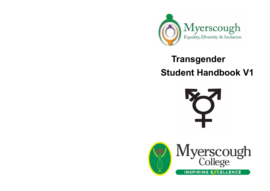

# **Transgender Student Handbook V1**



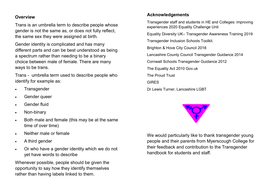#### **Overview**

Trans is an umbrella term to describe people whose gender is not the same as, or does not fully reflect, the same sex they were assigned at birth.

Gender identity is complicated and has many different parts and can be best understood as being a spectrum rather than needing to be a binary choice between male of female. There are many ways to be trans.

Trans - umbrella term used to describe people who identify for example as:

- **Transgender**
- Gender queer
- Gender fluid
- Non-binary
- Both male and female (this may be at the same time of over time)
- Neither male or female
- A third gender
- Or who have a gender identity which we do not yet have words to describe

Whenever possible, people should be given the opportunity to say how they identify themselves rather than having labels linked to them.

#### **Acknowledgements**

Transgender staff and students in HE and Colleges: improving experiences 2020 Equality Challenge Unit

Equality Diversity UK– Transgender Awareness Training 2019

Transgender Inclusion Schools Toolkit.

Brighton & Hove City Council 2018

Lancashire County Council Transgender Guidance 2014

Cornwall Schools Transgender Guidance 2012

The Equality Act 2010 Gov.uk

The Proud Trust

**GIRES** 

Dr Lewis Turner, Lancashire LGBT



We would particularly like to thank transgender young people and their parents from Myerscough College for their feedback and contribution to the Transgender handbook for students and staff.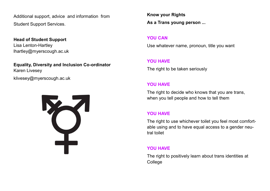Additional support, advice and information from Student Support Services.

**Head of Student Support** Lisa Lenton-Hartley lhartley@myerscough.ac.uk

**Equality, Diversity and Inclusion Co-ordinator** Karen Livesey klivesey@myerscough.ac.uk



**Know your Rights As a Trans young person ...**

#### **YOU CAN**

Use whatever name, pronoun, title you want

#### **YOU HAVE**

The right to be taken seriously

#### **YOU HAVE**

The right to decide who knows that you are trans, when you tell people and how to tell them

# **YOU HAVE**

The right to use whichever toilet you feel most comfortable using and to have equal access to a gender neutral toilet

#### **YOU HAVE**

The right to positively learn about trans identities at **College**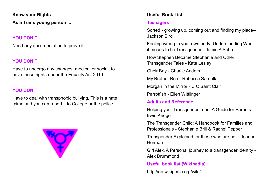**Know your Rights As a Trans young person ...**

#### **YOU DON'T**

Need any documentation to prove it

# **YOU DON'T**

Have to undergo any changes, medical or social, to have these rights under the Equality Act 2010

# **YOU DON'T**

Have to deal with transphobic bullying. This is a hate crime and you can report it to College or the police.



# **Useful Book List**

# **Teenagers**

Sorted - growing up, coming out and finding my place– Jackson Bird

Feeling wrong in your own body: Understanding What it means to be Transgender - Jamie A Seba

How Stephen Became Stephanie and Other Transgender Tales - Kate Lesley

Choir Boy - Charlie Anders

My Brother Ben - Rebecca Sardella

Morgan in the Mirror - C C Saint Clair

Parrotfish - Ellen Wittlinger

# **Adults and Reference**

Helping your Transgender Teen: A Guide for Parents - Irwin Krieger

The Transgender Child: A Handbook for Families and Professionals - Stephanie Brill & Rachel Pepper

Transgender Explained for those who are not - Joanne Herman

Girl Alex. A Personal journey to a transgender identity - Alex Drummond

**Useful book list (Wikipedia)**

http://en.wikipedia.org/wiki/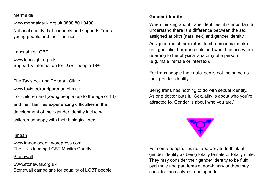#### **Mermaids**

www.mermaidsuk.org.uk 0808 801 0400 National charity that connects and supports Trans young people and their families.

#### Lancashire LGBT

www.lancslgbt.org.uk Support & information for LGBT people 18+

The Tavistock and Portman Clinic www.tavistockandportman.nhs.uk For children and young people (up to the age of 18) and their families experiencing difficulties in the development of their gender identity including children unhappy with their biological sex.

# Imaan

www.imaanlondon.wordpress.com The UK's leading LGBT Muslim Charity

#### **Stonewall**

www.stonewall.org.uk Stonewall campaigns for equality of LGBT people

# **Gender identity**

When thinking about trans identities, it is important to understand there is a difference between the sex assigned at birth (natal sex) and gender identity.

Assigned (natal) sex refers to chromosomal make up , genitalia, hormones etc and would be use when referring to the physical anatomy of a person (e.g. male, female or intersex).

For trans people their natal sex is not the same as their gender identity.

Being trans has nothing to do with sexual identity. As one doctor puts it, "Sexuality is about who you're attracted to. Gender is about who you are."



For some people, it is not appropriate to think of gender identity as being totally female or totally male. They may consider their gender identity to be fluid, part male and part female, non-binary or they may consider themselves to be agender.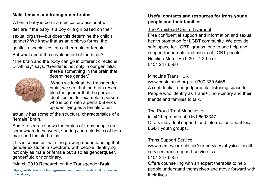# **Male, female and transgender brains**

When a baby is born, a medical professional will declare if the baby is a boy or a girl based on their sexual organs—but does this determine the child's gender? We know that as an embryo forms, the genitalia specializes into either male or female.

But what about the development of the brain?

"The brain and the body can go in different directions," Dr Altinay\* says. "Gender is not only in our genitalia;



determines gender." "When we look at the transgender brain, we see that the brain resembles the gender that the person

there's something in the brain that

identifies as, for example a person who is born with a penis but ends up identifying as a female often

actually has some of the structural characteristics of a "female" brain.

Some research shows the brains of trans people are somewhere in between, sharing characteristics of both male and female brains.

This is consistent with the growing understanding that gender exists on a spectrum, with people identifying not only as male or female but also as genderqueer, genderfluid or nonbinary.

# \*March 2019 Research on the Transgender Brain

[https://health.clevelandclinic.org/research](https://health.clevelandclinic.org/research-on-the-transgender-brain-what-you-should-know/)-on-the-transgender-brain-what-you[should](https://health.clevelandclinic.org/research-on-the-transgender-brain-what-you-should-know/)-know/

# **Useful contacts and resources for trans young people and their families.**

# The Armistead Centre Liverpool

Free confidential support and information and sexual health promotion for LGBT community. We provide safe space for LGBT groups, one to one help and support for parents and carers of LGBT people. Helpline Mon—Fri 9.30—4.30 p.m. 0151 247 6560

# MindLine Trans+ UK

www.bristolmind.org.uk 0300 330 5468 A confidential, non-judgemental listening space for People who identify as Trans+ , non-binary and their friends and families to talk.

# The Proud Trust Manchester

info@theproudtrust 0161 6603347 Offers individual support, and information about local LGBT youth groups.

# Trans Support Service

www.merseycare.nhs.uk/our-services/physical-healthservices/trans-support-service-tss 0151 247 6555

Offers counselling with an expert therapist to help people understand themselves and move forward with their lives.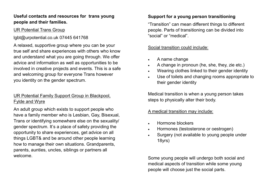# **Useful contacts and resources for trans young people and their families.**

# UR Potential Trans Group

lgbt@urpotential.co.uk 07445 641768

A relaxed, supportive group where you can be your true self and share experiences with others who know and understand what you are going through. We offer advice and information as well as opportunities to be involved in creative projects and events. This is a safe and welcoming group for everyone Trans however you identity on the gender spectrum.

# UR Potential Family Support Group in Blackpool, Fylde and Wyre

An adult group which exists to support people who have a family member who is Lesbian, Gay, Bisexual, Trans or identifying somewhere else on the sexuality/ gender spectrum. It's a place of safety providing the opportunity to share experiences, get advice on all things LGBT& and be around other people learning how to manage their own situations. Grandparents, parents, aunties, uncles, siblings or partners all welcome.

# **Support for a young person transitioning**

"Transition" can mean different things to different people. Parts of transitioning can be divided into "social" or "medical".

# Social transition could include:

- A name change
- A change in pronoun (he, she, they, zie etc.)
- Wearing clothes linked to their gender identity
- Use of toilets and changing rooms appropriate to their gender identity

Medical transition is when a young person takes steps to physically alter their body.

# A medical transition may include:

- Hormone blockers
- Hormones (testosterone or oestrogen)
- Surgery (not available to young people under 18yrs)

Some young people will undergo both social and medical aspects of transition while some young people will choose just the social parts.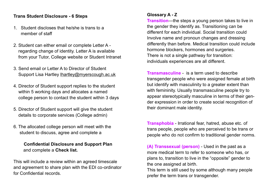#### **Trans Student Disclosure - 6 Steps**

- 1. Student discloses that he/she is trans to a member of staff
- 2. Student can either email or complete Letter A regarding change of identity. Letter A is available from your Tutor, College website or Student Intranet
- 3. Send email or Letter A to Director of Student Support Lisa Hartley lhartley@myerscough.ac.uk
- 4. Director of Student support replies to the student within 5 working days and allocates a named college person to contact the student within 3 days
- 5. Director of Student support will give the student details to corporate services (College admin)
- 6. The allocated college person will meet with the student to discuss, agree and complete a

# **Confidential Disclosure and Support Plan** and complete a **Check list.**

This will include a review within an agreed timescale and agreement to share plan with the EDI co-ordinator for Confidential records.

# **Glossary A - Z**

**Transition**—the steps a young person takes to live in the gender they identify as. Transitioning can be different for each individual. Social transition could Involve name and pronoun changes and dressing differently than before. Medical transition could include hormone blockers, hormones and surgeries. There is not a single pathway for transition: individuals experiences are all different.

**Transmasculine** - is a term used to describe transgender people who were assigned female at birth but identify with masculinity to a greater extent than with femininity. Usually transmasculine people try to appear stereotypically masculine in terms of their gender expression in order to create social recognition of their dominant male identity.

**Transphobia** - Irrational fear, hatred, abuse etc. of trans people, people who are perceived to be trans or people who do not confirm to traditional gender norms.

**(A) Transsexual (person)** - Used in the past as a more medical term to refer to someone who has, or plans to, transition to live in the "opposite" gender to the one assigned at birth.

This term is still used by some although many people prefer the term trans or transgender.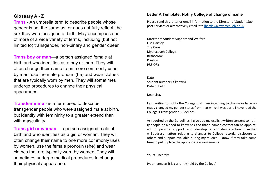#### **Glossary A - Z**

**Trans** - An umbrella term to describe people whose gender is not the same as, or does not fully reflect, the sex they were assigned at birth. May encompass one of more of a wide variety of terms, including (but not limited to) transgender, non-binary and gender queer.

**Trans boy or man**—a person assigned female at birth and who identifies as a boy or man. They will often change their name to on more commonly used by men, use the male pronoun (he) and wear clothes that are typically worn by men. They will sometimes undergo procedures to change their physical appearance.

**Transfeminine** - is a term used to describe transgender people who were assigned male at birth, but identify with femininity to a greater extend than with masculinity.

**Trans girl or woman** - a person assigned male at birth and who identifies as a girl or woman. They will often change their name to one more commonly uses by women, use the female pronoun (she) and wear clothes that are typically worn by women. They will sometimes undergo medical procedures to change their physical appearance.

#### **Letter A Template: Notify College of change of name**

Please send this letter or email information to the Director of Student Support Services or alternatively email it to [lhartley@myerscough.ac.uk](mailto:lhartley@myerscough.ac.uk)

Director of Student Support and Welfare Lisa Hartley The Core Myerscough College Bilsborrow Preston PR3 ORY

**Date** Student number (if known) Date of birth

Dear Lisa,

I am writing to notify the College that I am intending to change or have already changed my gender status from that which I was born. I have read the College's Transgender Guidelines.

As required by the Guidelines, I give you my explicit written consent to notify people on a need-to-know basis so that a named contact can be appointed to provide support and develop a confidential action plan that will address matters relating to changes to College records, disclosure to others and support available during my studies. I know if may take some time to put in place the appropriate arrangements.

Yours Sincerely

(your name as it is currently held by the College)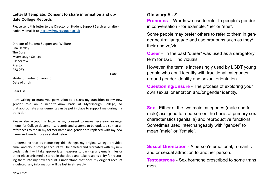#### **Letter B Template: Consent to share information and update College Records**

Please send this letter to the Director of Student Support Services or alternatively email it to [lhartley@myerscough.ac.uk](mailto:lhartley@myerscough.ac.uk)

Director of Student Support and Welfare Lisa Hartley The Core Myerscough College Bilsborrow Preston PR3 0RY

Date

Student number (if known) Date of birth

#### Dear Lisa

I am writing to grant you permission to discuss my transition to my new gender role on a need-to-know basis at Myerscough College, so that appropriate arrangements can be put in place to support me during my transition.

Please also accept this letter as my consent to make necessary arrangements for College documents, records and systems to be updated so that all references to me in my former name and gender are replaced with my new name and gender role as stated below.

I understand that by requesting this change, my original College provided email and cloud storage account will be deleted and recreated with my new credentials. I will take appropriate measures to back up any emails, files or other electronic media stored in the cloud and take responsibility for restoring them into my new account. I understand that once my original account is deleted, any information will be lost irretrievably.

#### **Glossary A - Z**

**Pronouns** - Words we use to refer to people's gender in conversation - for example, "he" or "she".

Some people may prefer others to refer to them in gender neutral language and use pronouns such as they/ their and ze/zir.

**Queer** - In the past "queer" was used as a derogatory term for LGBT individuals.

However, the term is increasingly used by LGBT young people who don't identify with traditional categories around gender identity and sexual orientation.

**Questioning/Unsure** - The process of exploring your own sexual orientation and/or gender identity.

**Sex** - Either of the two main categories (male and female) assigned to a person on the basis of primary sex characteristics (genitalia) and reproductive functions. Sometimes used interchangeably with "gender" to mean "male" or "female".

**Sexual Orientation** - A person's emotional, romantic and or sexual attraction to another person.

**Testosterone** - Sex hormone prescribed to some trans men.

New Title: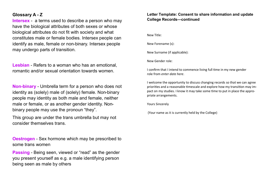#### **Glossary A - Z**

**Intersex** - a terms used to describe a person who may have the biological attributes of both sexes or whose biological attributes do not fit with society and what constitutes male or female bodies. Intersex people can identify as male, female or non-binary. Intersex people may undergo parts of transition.

**Lesbian** - Refers to a woman who has an emotional, romantic and/or sexual orientation towards women.

**Non-binary** - Umbrella term for a person who does not identity as (solely) male of (solely) female. Non-binary people may identity as both male and female, neither male or female, or as another gender identity. Nonbinary people may use the pronoun "they".

This group are under the trans umbrella but may not consider themselves trans.

**Oestrogen** - Sex hormone which may be prescribed to some trans women

**Passing** - Being seen, viewed or "read" as the gender you present yourself as e.g. a male identifying person being seen as male by others

#### **Letter Template: Consent to share information and update College Records—continued**

New Title:

New Forename (s):

New Surname (if applicable):

New Gender role:

I confirm that I intend to commence living full time in my new gender role from *enter date here*.

I welcome the opportunity to discuss changing records so that we can agree priorities and a reasonable timescale and explore how my transition may impact on my studies. I know it may take some time to put in place the appropriate arrangements.

Yours Sincerely

(Your name as it is currently held by the College)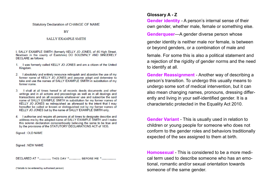#### **Statutory Declaration of CHANGE OF NAME**

#### **BY**

#### SALLY EXAMPLE SMITH

I. SALLY EXAMPLE SMITH (formerly KELLY JO JONES, of 46 High Street, Newtown in the county of Eastshire) DO SOLEMNLY AND SINCERELY **DECLARE** as follows:

- 1. I was formerly called KELLY JO JONES and am a citizen of the United Kingdom.
- 2. I absolutely and entirely renounce relinguish and abandon the use of my former name of KELLY JO JONES and assume adopt and determine to take and use the names of SALLY EXAMPLE SMITH in substitution of my former name
- 3. I shall at all times hereof in all records deeds documents and other writings and in all actions and proceedings as well as in all dealings and transactions and on all occasions whatsoever use and subscribe the said name of SALLY EXAMPLE SMITH in substitution for my former names of KELLY JO JONES so relinguished as aforesaid to the intent that I may hereafter be called or known or distinguished not by my former names of KELLY JO JONES but by the name of SALLY EXAMPLE SMITH only.
- 4. I authorise and require all persons at all times to designate describe and address me by the adopted name of SALLY EXAMPLE SMITH and I make this solemn declaration conscientiously believing the same to be true and by the provisions of the STATUTORY DECLARATIONS ACT of 1835.

Signed: OLD NAME

Signed : NEW NAME

DECLARED AT \*................ THIS DAY \*.............. BEFORE ME \*...................

(\*details to be entered by authorised person)

#### **Glossary A - Z**

**Gender identity** - A person's internal sense of their own gender, whether male, female or something else.

**Genderqueer**—A gender diverse person whose

gender identity is neither male nor female, is between or beyond genders, or a combination of male and

female. For some this is also a political statement and a rejection of the rigidity of gender norms and the need to identify at all.

**Gender Reassignment** - Another way of describing a person's transition. To undergo this usually means to undergo some sort of medical intervention, but it can also mean changing names, pronouns, dressing differently and living in your self-identified gender. It is a characteristic protected in the Equality Act 2010.

**Gender Variant** - This is usually used in relation to children or young people for someone who does not conform to the gender roles and behaviors traditionally expected of the sex assigned to them at birth.

**Homosexual** - This is considered to be a more medical term used to describe someone who has an emotional, romantic and/or sexual orientation towards someone of the same gender.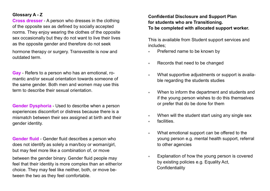#### **Glossary A - Z**

**Cross dresser** - A person who dresses in the clothing of the opposite sex as defined by socially accepted norms. They enjoy wearing the clothes of the opposite sex occasionally but they do not want to live their lives as the opposite gender and therefore do not seek

hormone therapy or surgery. Transvestite is now and outdated term.

**Gay** - Refers to a person who has an emotional, romantic and/or sexual orientation towards someone of the same gender. Both men and women may use this term to describe their sexual orientation.

**Gender Dysphoria** - Used to describe when a person experiences discomfort or distress because there is a mismatch between their sex assigned at birth and their gender identity.

**Gender fluid** - Gender fluid describes a person who does not identify as solely a man/boy or woman/girl, but may feel more like a combination of, or move

between the gender binary. Gender fluid people may feel that their identity is more complex than an either/or choice. They may feel like neither, both, or move between the two as they feel comfortable.

# **Confidential Disclosure and Support Plan for students who are Transitioning. To be completed with allocated support worker.**

This is available from Student support services and includes;

- Preferred name to be known by
- Records that need to be changed
- What supportive adjustments or support is available regarding the students studies
- When to inform the department and students and if the young person wishes to do this themselves or prefer that do be done for them
- When will the student start using any single sex
- facilities.
- What emotional support can be offered to the young person e.g. mental health support, referral to other agencies
- Explanation of how the young person is covered by existing policies e.g. Equality Act, **Confidentiality**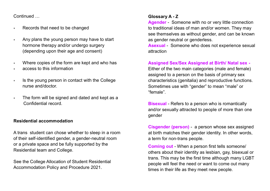Continued …

- Records that need to be changed
- Any plans the young person may have to start hormone therapy and/or undergo surgery (depending upon their age and consent)
- Where copies of the form are kept and who has
- access to this information
- \* Is the young person in contact with the College nurse and/doctor.
- The form will be signed and dated and kept as a Confidential record.

# **Residential accommodation**

A trans student can chose whether to sleep in a room of their self-identified gender, a gender-neutral room or a private space and be fully supported by the Residential team and College.

See the College Allocation of Student Residential Accommodation Policy and Procedure 2021.

# **Glossary A - Z**

**Agender** - Someone with no or very little connection to traditional ideas of man and/or women. They may see themselves as without gender, and can be known as gender neutral or genderless.

**Asexual** - Someone who does not experience sexual attraction

#### **Assigned Sex/Sex Assigned at Birth/ Natal sex -**

Either of the two main categories (male and female) assigned to a person on the basis of primary sex characteristics (genitalia) and reproductive functions. Sometimes use with "gender" to mean "male" or "female".

**Bisexual** - Refers to a person who is romantically and/or sexually attracted to people of more than one gender

**Cisgender (person)** - a person whose sex assigned at birth matches their gender identity. In other words, a term for non-trans people.

**Coming out** - When a person first tells someone/ others about their identity as lesbian, gay, bisexual or trans. This may be the first time although many LGBT people will feel the need or want to come out many times in their life as they meet new people.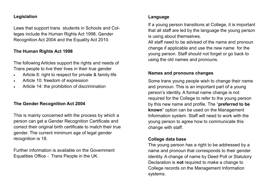#### **Legislation**

Laws that support trans students in Schools and Colleges include the Human Rights Act 1998, Gender Recognition Act 2004 and the Equality Act 2010.

# **The Human Rights Act 1998**

The following Articles support the rights and needs of Trans people to live their lives in their true gender

- Article 8: right to respect for private & family life
- Article 10: freedom of expression
- Article 14: the prohibition of discrimination

# **The Gender Recognition Act 2004**

This is mainly concerned with the process by which a person can get a Gender Recognition Certificate and correct their original birth certificate to match their true gender. The current minimum age of legal gender recognition is 18.

Further information is available on the Government Equalities Office - Trans People in the UK.

# **Language**

If a young person transitions at College, it is important that all staff are led by the language the young person is using about themselves.

All staff need to be advised of the name and pronoun change if applicable and use the new name for the young person. Staff should not forget or go back to using the old names and pronouns.

#### **Names and pronouns changes**

Some trans young people wish to change their name and pronoun. This is an important part of a young person's identity. A formal name change is not required for the College to refer to the young person by this new name and profile. The "**preferred to be known**" option can be used on the Management Information system. Staff will need to work with the young person to agree how to communicate this change with staff.

# **College data base**

The young person has a right to be addressed by a name and pronoun that corresponds to their gender identity. A change of name by Deed Poll or Statutory Declaration is **not** required to make a change to College records on the Management Information systems.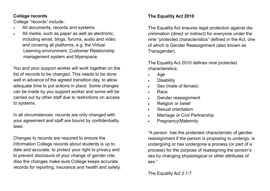#### **College records**

College "records" include:

- All documents, records and systems
- All media, such as paper as well as electronic. including email, blogs, forums, audio and video and covering all platforms, e.g. the Virtual Learning environment, Customer Relationship management system and Myerspace.

You and your support worker will work together on the list of records to be changed. This needs to be done well in advance of the agreed transition day, to allow adequate time to put actions in place. Some changes can be made by you support worker and some will be carried out by other staff due to restrictions on access to systems.

In all circumstances, records are only changed with your agreement and staff are bound by confidentiality laws.

Changes to records are required to ensure the Information College records about students is up to date and accurate, to protect your right to privacy and to prevent disclosure of your change of gender role. Also the changes make sure College keeps accurate records for reporting, insurance and health and safety.

# **The Equality Act 2010**

The Equality Act ensures legal protection against discrimination (direct or indirect) for everyone under the nine "protected characteristics" defined in the Act, one of which is Gender Reassignment (also known as Transgender).

The Equality Act 2010 defines nine protected characteristics;

- Age
- **Disability**
- Sex (male of female)
- Race
- Gender reassignment
- Religion or belief
- Sexual orientation
- Marriage or Civil Partnership
- Pregnancy/Maternity

"A person has the protected characteristic of gender reassignment if the person is proposing to undergo, is undergoing or has undergone a process (or part of a process) for the purpose of reassigning the person's sex by changing physiological or other attributes of sex."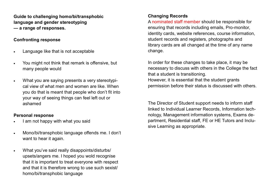**Guide to challenging homo/bi/transphobic language and gender stereotyping — a range of responses.**

#### **Confronting response**

- Language like that is not acceptable
- You might not think that remark is offensive, but many people would
- What you are saying presents a very stereotypical view of what men and women are like. When you do that is meant that people who don't fit into your way of seeing things can feel left out or ashamed

# **Personal response**

- I am not happy with what you said
- Mono/bi/transphobic language offends me. I don't want to hear it again.
- What you've said really disappoints/disturbs/ upsets/angers me. I hoped you wold recognise that it is important to treat everyone with respect and that it is therefore wrong to use such sexist/ homo/bi/transphobic language

# **Changing Records**

A nominated staff member should be responsible for ensuring that records including emails, Pro-monitor, identity cards, website references, course information, student records and registers, photographs and library cards are all changed at the time of any name change.

In order for these changes to take place, it may be necessary to discuss with others in the College the fact that a student is transitioning. However, it is essential that the student grants permission before their status is discussed with others.

The Director of Student support needs to inform staff linked to Individual Learner Records, Information technology, Management information systems, Exams department, Residential staff, FE or HE Tutors and Inclusive Learning as appropriate.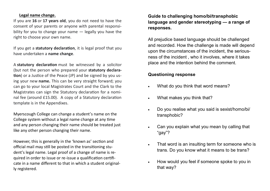#### **Legal name change.**

If you are **16** or **17 years old**, you do not need to have the consent of your parents or anyone with parental responsibility for you to change your name — legally you have the right to choose your own name.

If you get a **statutory declaration**, it is legal proof that you have undertaken a **name change**.

A **statutory declaration** must be witnessed by a solicitor (but not the person who prepared your **statutory declaration**) or a Justice of the Peace (JP) and be signed by you using your new **name.** This can be very straight forward; you can go to your local Magistrates Court and the Clark to the Magistrates can sign the Statutory declaration for a nominal fee (around £15.00). A copy of a Statutory declaration template is in the Appendixes.

Myerscough College can change a student's name on the College system without a legal name change at any time and any person changing their name should be treated just like any other person changing their name.

However, this is generally in the 'known as' section and official mail may still be posted in the transitioning student's legal name. Legal proof of a change of name is required in order to issue or re-issue a qualification certificate in a name different to that in which a student originally registered.

**Guide to challenging homo/bi/transphobic language and gender stereotyping — a range of responses.**

All prejudice based language should be challenged and recorded. How the challenge is made will depend upon the circumstances of the incident, the seriousness of the incident , who it involves, where it takes place and the intention behind the comment.

#### **Questioning response**

- What do you think that word means?
- What makes you think that?
- Do you realise what you said is sexist/homo/bi/ transphobic?
- Can you explain what you mean by calling that "gay"?
- That word is an insulting term for someone who is trans. Do you know what it means to be trans?
- How would you feel if someone spoke to you in that way?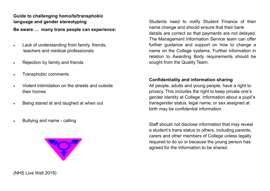# **Guide to challenging homo/bi/transphobic language and gender stereotyping**

**Be aware … many trans people can experience:**

- Lack of understanding from family, friends, teachers and medical professionals
- Rejection by family and friends
- Transphobic comments
- Violent intimidation on the streets and outside their homes
- Being stared at and laughed at when out
- Bullying and name calling



name change and should ensure that their bank details are correct so that payments are not delayed. The Management Information Service team can offer further guidance and support on how to change a name on the College systems. Further information in relation to Awarding Body requirements should be sought from the Quality Team.

Students need to notify Student Finance of their

#### **Confidentiality and information sharing**

All people, adults and young people, have a right to privacy. This includes the right to keep private one's gender identity at College. Information about a pupil's transgender status, legal name, or sex assigned at birth may be confidential information.

Staff should not disclose information that may reveal a student's trans status to others, including parents, carers and other members of College unless legally required to do so or because the young person has agreed for the Information to be shared.

(NHS Live Well 2019)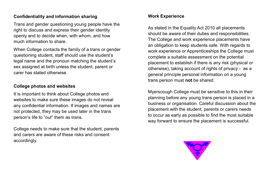#### **Confidentiality and information sharing**

Trans and gender questioning young people have the right to discuss and express their gender identity openly and to decide when, with whom, and how much information to share.

When College contacts the family of a trans or gender questioning student, staff should use the student's legal name and the pronoun matching the student's sex assigned at birth unless the student, parent or carer has stated otherwise.

# **College photos and websites**

It is important to think about College photos and websites to make sure these images do not reveal any confidential information. If images and names are not protected, they may be used later in the trans person's life to "out" them as trans.

College needs to make sure that the student, parents and carers are aware of these risks and consent accordingly.

# **Work Experience**

As stated in the Equality Act 2010 all placements should be aware of their duties and responsibilities. The College and work experience placements have an obligation to keep students safe. With regards to work experience or Apprenticeships the College must complete a suitable assessment on the potential placement to establish if there is any risk (physical or otherwise), taking account of rights of privacy - as a general principle personal information on a young trans person must **not** be shared.

Myerscough College must be sensitive to this in their planning before any young trans person is placed in a business or organisation. Careful discussion about the placement with the student, parents or carers needs to occur as early as possible to find the most suitable way forward to ensure the placement is successful.

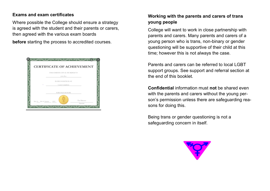# **Exams and exam certificates**

Where possible the College should ensure a strategy is agreed with the student and their parents or carers, then agreed with the various exam boards

**before** starting the process to accredited courses.



# **Working with the parents and carers of trans young people**

College will want to work in close partnership with parents and carers. Many parents and carers of a young person who is trans, non-binary or gender questioning will be supportive of their child at this time; however this is not always the case.

Parents and carers can be referred to local LGBT support groups. See support and referral section at the end of this booklet.

**Confidential** information must **not** be shared even with the parents and carers without the young person's permission unless there are safeguarding reasons for doing this.

Being trans or gender questioning is not a safeguarding concern in itself.